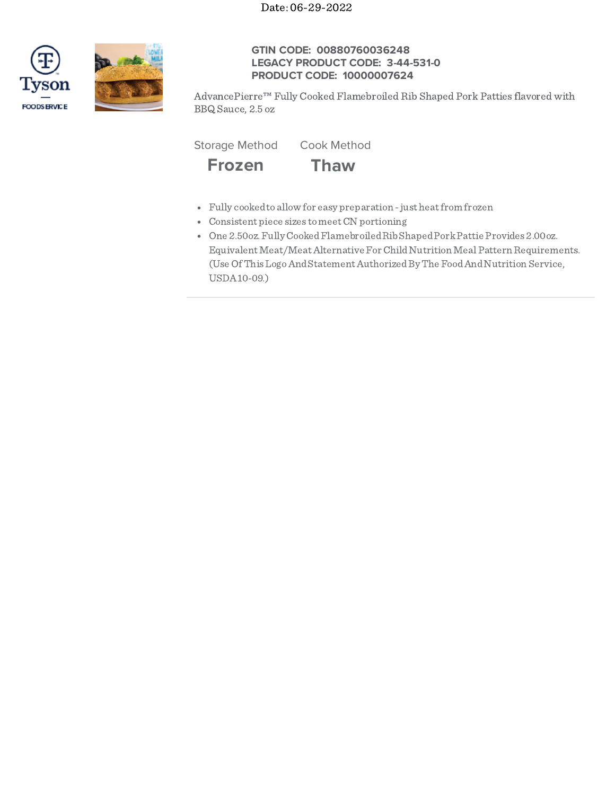



# **GTIN CODE: 00880760036248 LEGACY PRODUCT CODE: 3-44-531-0 PRODUCT CODE: 10000007624**

AdvancePierre™ Fully Cooked Flamebroiled Rib Shaped Pork Patties flavored with BBQ Sauce, 2.5 oz

Storage Method Cook Method



- Fully cookedto allow for easy preparation -just heatfrom frozen
- Consistent piece sizes tomeetCN portioning
- One 2.50oz.FullyCookedFlamebroiledRibShapedPorkPattie Provides 2.00oz. Equivalent Meat/Meat Alternative For Child Nutrition Meal Pattern Requirements. (Use Of This Logo And Statement Authorized By The Food And Nutrition Service, USDA10-09.)